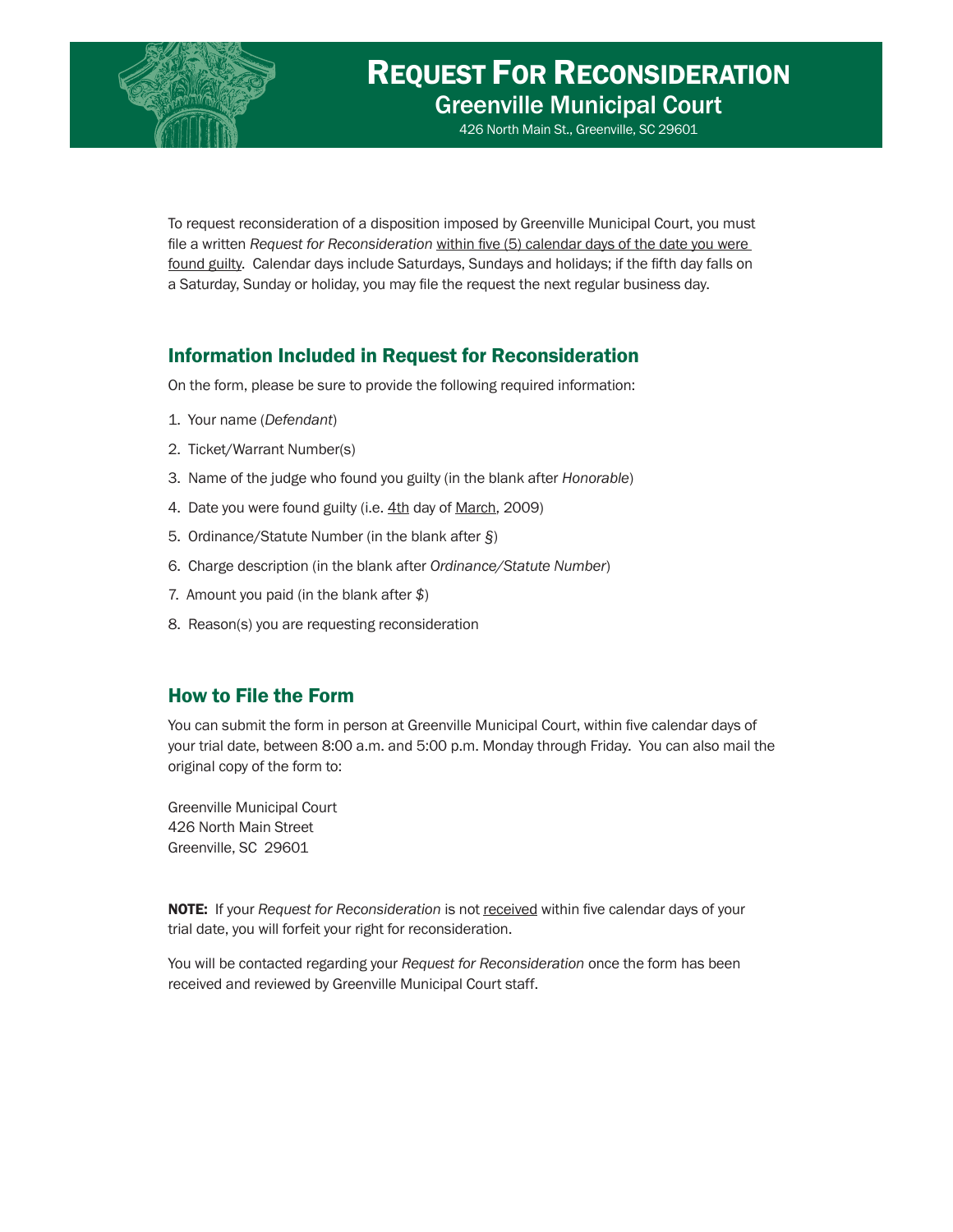

## REQUEST FOR RECONSIDERATION Greenville Municipal Court

426 North Main St., Greenville, SC 29601

To request reconsideration of a disposition imposed by Greenville Municipal Court, you must file a written *Request for Reconsideration* within five (5) calendar days of the date you were found guilty. Calendar days include Saturdays, Sundays and holidays; if the fifth day falls on a Saturday, Sunday or holiday, you may file the request the next regular business day.

## Information Included in Request for Reconsideration

On the form, please be sure to provide the following required information:

- 1. Your name (*Defendant*)
- 2. Ticket/Warrant Number(s)
- 3. Name of the judge who found you guilty (in the blank after *Honorable*)
- 4. Date you were found guilty (i.e. 4th day of March, 2009)
- 5. Ordinance/Statute Number (in the blank after *§*)
- 6. Charge description (in the blank after *Ordinance/Statute Number*)
- 7. Amount you paid (in the blank after *\$*)
- 8. Reason(s) you are requesting reconsideration

## How to File the Form

You can submit the form in person at Greenville Municipal Court, within five calendar days of your trial date, between 8:00 a.m. and 5:00 p.m. Monday through Friday. You can also mail the original copy of the form to:

Greenville Municipal Court 426 North Main Street Greenville, SC 29601

NOTE: If your *Request for Reconsideration* is not received within five calendar days of your trial date, you will forfeit your right for reconsideration.

You will be contacted regarding your *Request for Reconsideration* once the form has been received and reviewed by Greenville Municipal Court staff.